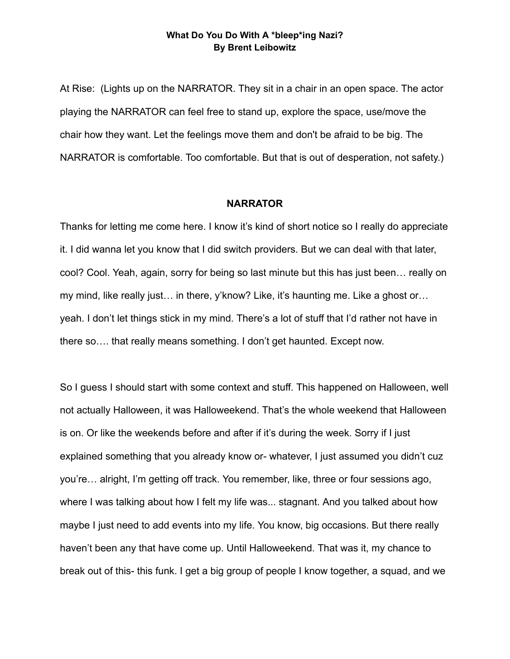## **What Do You Do With A \*bleep\*ing Nazi? By Brent Leibowitz**

At Rise: (Lights up on the NARRATOR. They sit in a chair in an open space. The actor playing the NARRATOR can feel free to stand up, explore the space, use/move the chair how they want. Let the feelings move them and don't be afraid to be big. The NARRATOR is comfortable. Too comfortable. But that is out of desperation, not safety.)

## **NARRATOR**

Thanks for letting me come here. I know it's kind of short notice so I really do appreciate it. I did wanna let you know that I did switch providers. But we can deal with that later, cool? Cool. Yeah, again, sorry for being so last minute but this has just been… really on my mind, like really just… in there, y'know? Like, it's haunting me. Like a ghost or… yeah. I don't let things stick in my mind. There's a lot of stuff that I'd rather not have in there so…. that really means something. I don't get haunted. Except now.

So I guess I should start with some context and stuff. This happened on Halloween, well not actually Halloween, it was Halloweekend. That's the whole weekend that Halloween is on. Or like the weekends before and after if it's during the week. Sorry if I just explained something that you already know or- whatever, I just assumed you didn't cuz you're… alright, I'm getting off track. You remember, like, three or four sessions ago, where I was talking about how I felt my life was... stagnant. And you talked about how maybe I just need to add events into my life. You know, big occasions. But there really haven't been any that have come up. Until Halloweekend. That was it, my chance to break out of this- this funk. I get a big group of people I know together, a squad, and we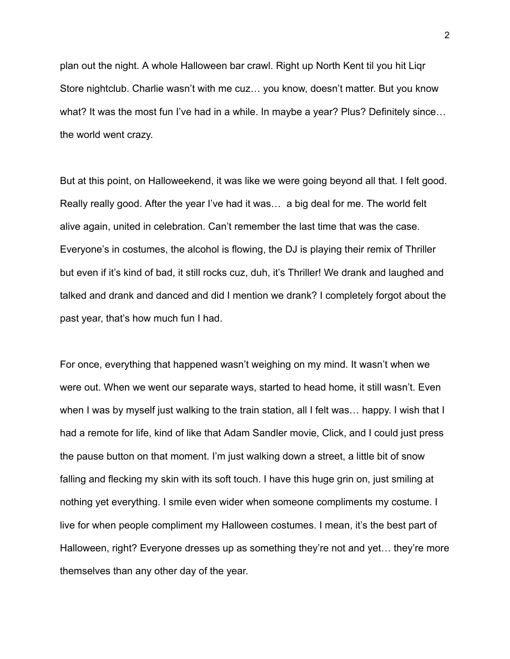plan out the night. A whole Halloween bar crawl. Right up North Kent til you hit Liqr Store nightclub. Charlie wasn't with me cuz… you know, doesn't matter. But you know what? It was the most fun I've had in a while. In maybe a year? Plus? Definitely since… the world went crazy.

But at this point, on Halloweekend, it was like we were going beyond all that. I felt good. Really really good. After the year I've had it was… a big deal for me. The world felt alive again, united in celebration. Can't remember the last time that was the case. Everyone's in costumes, the alcohol is flowing, the DJ is playing their remix of Thriller but even if it's kind of bad, it still rocks cuz, duh, it's Thriller! We drank and laughed and talked and drank and danced and did I mention we drank? I completely forgot about the past year, that's how much fun I had.

For once, everything that happened wasn't weighing on my mind. It wasn't when we were out. When we went our separate ways, started to head home, it still wasn't. Even when I was by myself just walking to the train station, all I felt was… happy. I wish that I had a remote for life, kind of like that Adam Sandler movie, Click, and I could just press the pause button on that moment. I'm just walking down a street, a little bit of snow falling and flecking my skin with its soft touch. I have this huge grin on, just smiling at nothing yet everything. I smile even wider when someone compliments my costume. I live for when people compliment my Halloween costumes. I mean, it's the best part of Halloween, right? Everyone dresses up as something they're not and yet… they're more themselves than any other day of the year.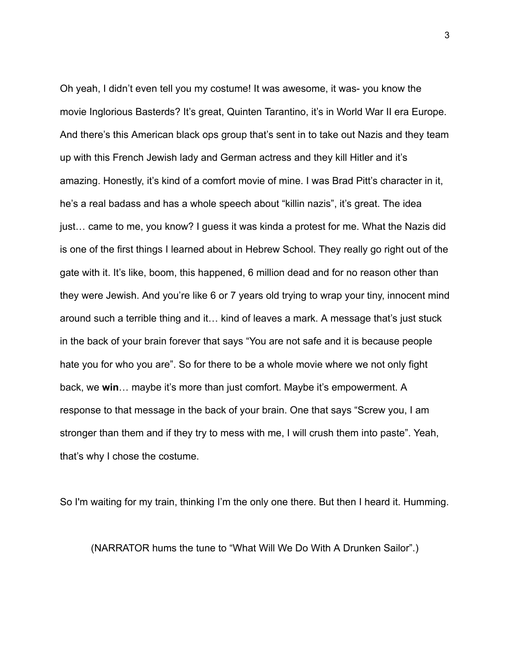Oh yeah, I didn't even tell you my costume! It was awesome, it was- you know the movie Inglorious Basterds? It's great, Quinten Tarantino, it's in World War II era Europe. And there's this American black ops group that's sent in to take out Nazis and they team up with this French Jewish lady and German actress and they kill Hitler and it's amazing. Honestly, it's kind of a comfort movie of mine. I was Brad Pitt's character in it, he's a real badass and has a whole speech about "killin nazis", it's great. The idea just… came to me, you know? I guess it was kinda a protest for me. What the Nazis did is one of the first things I learned about in Hebrew School. They really go right out of the gate with it. It's like, boom, this happened, 6 million dead and for no reason other than they were Jewish. And you're like 6 or 7 years old trying to wrap your tiny, innocent mind around such a terrible thing and it… kind of leaves a mark. A message that's just stuck in the back of your brain forever that says "You are not safe and it is because people hate you for who you are". So for there to be a whole movie where we not only fight back, we **win**… maybe it's more than just comfort. Maybe it's empowerment. A response to that message in the back of your brain. One that says "Screw you, I am stronger than them and if they try to mess with me, I will crush them into paste". Yeah, that's why I chose the costume.

So I'm waiting for my train, thinking I'm the only one there. But then I heard it. Humming.

(NARRATOR hums the tune to "What Will We Do With A Drunken Sailor".)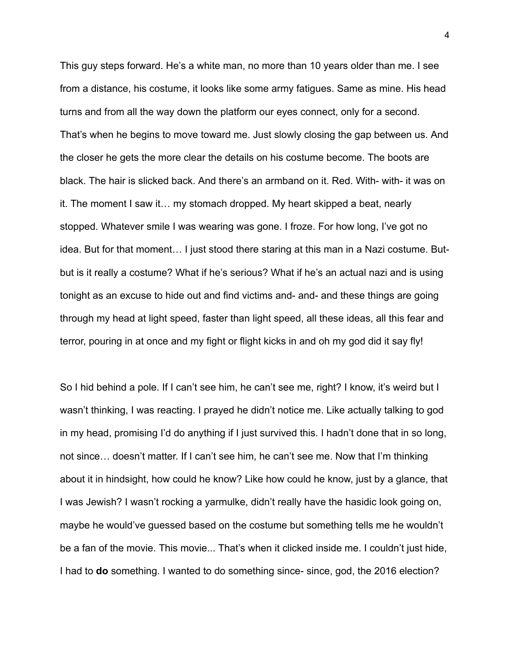This guy steps forward. He's a white man, no more than 10 years older than me. I see from a distance, his costume, it looks like some army fatigues. Same as mine. His head turns and from all the way down the platform our eyes connect, only for a second. That's when he begins to move toward me. Just slowly closing the gap between us. And the closer he gets the more clear the details on his costume become. The boots are black. The hair is slicked back. And there's an armband on it. Red. With- with- it was on it. The moment I saw it… my stomach dropped. My heart skipped a beat, nearly stopped. Whatever smile I was wearing was gone. I froze. For how long, I've got no idea. But for that moment… I just stood there staring at this man in a Nazi costume. Butbut is it really a costume? What if he's serious? What if he's an actual nazi and is using tonight as an excuse to hide out and find victims and- and- and these things are going through my head at light speed, faster than light speed, all these ideas, all this fear and terror, pouring in at once and my fight or flight kicks in and oh my god did it say fly!

So I hid behind a pole. If I can't see him, he can't see me, right? I know, it's weird but I wasn't thinking, I was reacting. I prayed he didn't notice me. Like actually talking to god in my head, promising I'd do anything if I just survived this. I hadn't done that in so long, not since… doesn't matter. If I can't see him, he can't see me. Now that I'm thinking about it in hindsight, how could he know? Like how could he know, just by a glance, that I was Jewish? I wasn't rocking a yarmulke, didn't really have the hasidic look going on, maybe he would've guessed based on the costume but something tells me he wouldn't be a fan of the movie. This movie... That's when it clicked inside me. I couldn't just hide, I had to **do** something. I wanted to do something since- since, god, the 2016 election?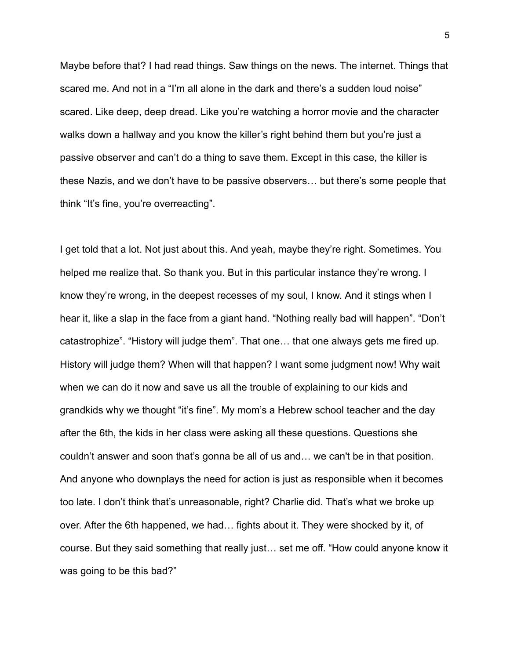Maybe before that? I had read things. Saw things on the news. The internet. Things that scared me. And not in a "I'm all alone in the dark and there's a sudden loud noise" scared. Like deep, deep dread. Like you're watching a horror movie and the character walks down a hallway and you know the killer's right behind them but you're just a passive observer and can't do a thing to save them. Except in this case, the killer is these Nazis, and we don't have to be passive observers… but there's some people that think "It's fine, you're overreacting".

I get told that a lot. Not just about this. And yeah, maybe they're right. Sometimes. You helped me realize that. So thank you. But in this particular instance they're wrong. I know they're wrong, in the deepest recesses of my soul, I know. And it stings when I hear it, like a slap in the face from a giant hand. "Nothing really bad will happen". "Don't catastrophize". "History will judge them". That one… that one always gets me fired up. History will judge them? When will that happen? I want some judgment now! Why wait when we can do it now and save us all the trouble of explaining to our kids and grandkids why we thought "it's fine". My mom's a Hebrew school teacher and the day after the 6th, the kids in her class were asking all these questions. Questions she couldn't answer and soon that's gonna be all of us and… we can't be in that position. And anyone who downplays the need for action is just as responsible when it becomes too late. I don't think that's unreasonable, right? Charlie did. That's what we broke up over. After the 6th happened, we had… fights about it. They were shocked by it, of course. But they said something that really just… set me off. "How could anyone know it was going to be this bad?"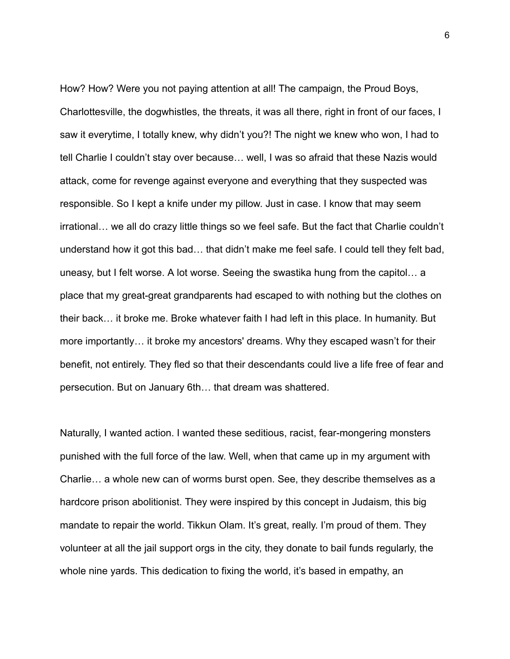How? How? Were you not paying attention at all! The campaign, the Proud Boys, Charlottesville, the dogwhistles, the threats, it was all there, right in front of our faces, I saw it everytime, I totally knew, why didn't you?! The night we knew who won, I had to tell Charlie I couldn't stay over because… well, I was so afraid that these Nazis would attack, come for revenge against everyone and everything that they suspected was responsible. So I kept a knife under my pillow. Just in case. I know that may seem irrational… we all do crazy little things so we feel safe. But the fact that Charlie couldn't understand how it got this bad… that didn't make me feel safe. I could tell they felt bad, uneasy, but I felt worse. A lot worse. Seeing the swastika hung from the capitol… a place that my great-great grandparents had escaped to with nothing but the clothes on their back… it broke me. Broke whatever faith I had left in this place. In humanity. But more importantly… it broke my ancestors' dreams. Why they escaped wasn't for their benefit, not entirely. They fled so that their descendants could live a life free of fear and persecution. But on January 6th… that dream was shattered.

Naturally, I wanted action. I wanted these seditious, racist, fear-mongering monsters punished with the full force of the law. Well, when that came up in my argument with Charlie… a whole new can of worms burst open. See, they describe themselves as a hardcore prison abolitionist. They were inspired by this concept in Judaism, this big mandate to repair the world. Tikkun Olam. It's great, really. I'm proud of them. They volunteer at all the jail support orgs in the city, they donate to bail funds regularly, the whole nine yards. This dedication to fixing the world, it's based in empathy, an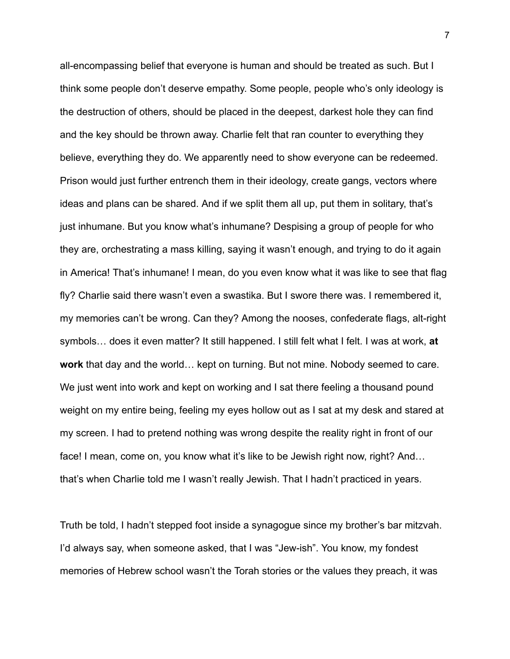all-encompassing belief that everyone is human and should be treated as such. But I think some people don't deserve empathy. Some people, people who's only ideology is the destruction of others, should be placed in the deepest, darkest hole they can find and the key should be thrown away. Charlie felt that ran counter to everything they believe, everything they do. We apparently need to show everyone can be redeemed. Prison would just further entrench them in their ideology, create gangs, vectors where ideas and plans can be shared. And if we split them all up, put them in solitary, that's just inhumane. But you know what's inhumane? Despising a group of people for who they are, orchestrating a mass killing, saying it wasn't enough, and trying to do it again in America! That's inhumane! I mean, do you even know what it was like to see that flag fly? Charlie said there wasn't even a swastika. But I swore there was. I remembered it, my memories can't be wrong. Can they? Among the nooses, confederate flags, alt-right symbols… does it even matter? It still happened. I still felt what I felt. I was at work, **at work** that day and the world… kept on turning. But not mine. Nobody seemed to care. We just went into work and kept on working and I sat there feeling a thousand pound weight on my entire being, feeling my eyes hollow out as I sat at my desk and stared at my screen. I had to pretend nothing was wrong despite the reality right in front of our face! I mean, come on, you know what it's like to be Jewish right now, right? And… that's when Charlie told me I wasn't really Jewish. That I hadn't practiced in years.

Truth be told, I hadn't stepped foot inside a synagogue since my brother's bar mitzvah. I'd always say, when someone asked, that I was "Jew-ish". You know, my fondest memories of Hebrew school wasn't the Torah stories or the values they preach, it was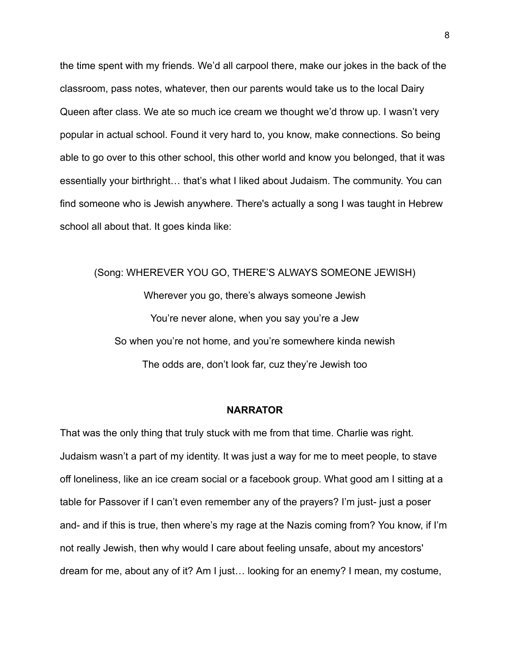the time spent with my friends. We'd all carpool there, make our jokes in the back of the classroom, pass notes, whatever, then our parents would take us to the local Dairy Queen after class. We ate so much ice cream we thought we'd throw up. I wasn't very popular in actual school. Found it very hard to, you know, make connections. So being able to go over to this other school, this other world and know you belonged, that it was essentially your birthright… that's what I liked about Judaism. The community. You can find someone who is Jewish anywhere. There's actually a song I was taught in Hebrew school all about that. It goes kinda like:

(Song: WHEREVER YOU GO, THERE'S ALWAYS SOMEONE JEWISH) Wherever you go, there's always someone Jewish You're never alone, when you say you're a Jew So when you're not home, and you're somewhere kinda newish The odds are, don't look far, cuz they're Jewish too

## **NARRATOR**

That was the only thing that truly stuck with me from that time. Charlie was right. Judaism wasn't a part of my identity. It was just a way for me to meet people, to stave off loneliness, like an ice cream social or a facebook group. What good am I sitting at a table for Passover if I can't even remember any of the prayers? I'm just- just a poser and- and if this is true, then where's my rage at the Nazis coming from? You know, if I'm not really Jewish, then why would I care about feeling unsafe, about my ancestors' dream for me, about any of it? Am I just… looking for an enemy? I mean, my costume,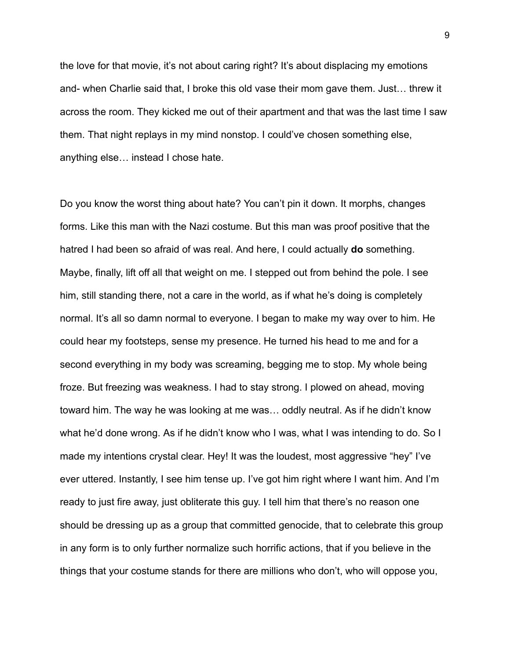the love for that movie, it's not about caring right? It's about displacing my emotions and- when Charlie said that, I broke this old vase their mom gave them. Just… threw it across the room. They kicked me out of their apartment and that was the last time I saw them. That night replays in my mind nonstop. I could've chosen something else, anything else… instead I chose hate.

Do you know the worst thing about hate? You can't pin it down. It morphs, changes forms. Like this man with the Nazi costume. But this man was proof positive that the hatred I had been so afraid of was real. And here, I could actually **do** something. Maybe, finally, lift off all that weight on me. I stepped out from behind the pole. I see him, still standing there, not a care in the world, as if what he's doing is completely normal. It's all so damn normal to everyone. I began to make my way over to him. He could hear my footsteps, sense my presence. He turned his head to me and for a second everything in my body was screaming, begging me to stop. My whole being froze. But freezing was weakness. I had to stay strong. I plowed on ahead, moving toward him. The way he was looking at me was… oddly neutral. As if he didn't know what he'd done wrong. As if he didn't know who I was, what I was intending to do. So I made my intentions crystal clear. Hey! It was the loudest, most aggressive "hey" I've ever uttered. Instantly, I see him tense up. I've got him right where I want him. And I'm ready to just fire away, just obliterate this guy. I tell him that there's no reason one should be dressing up as a group that committed genocide, that to celebrate this group in any form is to only further normalize such horrific actions, that if you believe in the things that your costume stands for there are millions who don't, who will oppose you,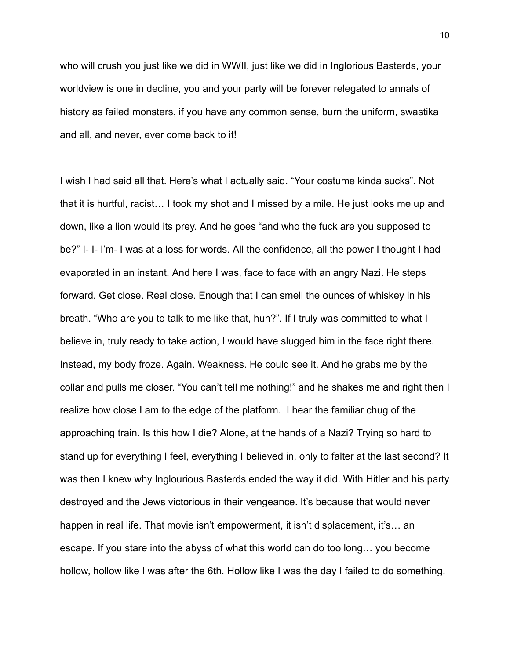who will crush you just like we did in WWII, just like we did in Inglorious Basterds, your worldview is one in decline, you and your party will be forever relegated to annals of history as failed monsters, if you have any common sense, burn the uniform, swastika and all, and never, ever come back to it!

I wish I had said all that. Here's what I actually said. "Your costume kinda sucks". Not that it is hurtful, racist… I took my shot and I missed by a mile. He just looks me up and down, like a lion would its prey. And he goes "and who the fuck are you supposed to be?" I- I- I'm- I was at a loss for words. All the confidence, all the power I thought I had evaporated in an instant. And here I was, face to face with an angry Nazi. He steps forward. Get close. Real close. Enough that I can smell the ounces of whiskey in his breath. "Who are you to talk to me like that, huh?". If I truly was committed to what I believe in, truly ready to take action, I would have slugged him in the face right there. Instead, my body froze. Again. Weakness. He could see it. And he grabs me by the collar and pulls me closer. "You can't tell me nothing!" and he shakes me and right then I realize how close I am to the edge of the platform. I hear the familiar chug of the approaching train. Is this how I die? Alone, at the hands of a Nazi? Trying so hard to stand up for everything I feel, everything I believed in, only to falter at the last second? It was then I knew why Inglourious Basterds ended the way it did. With Hitler and his party destroyed and the Jews victorious in their vengeance. It's because that would never happen in real life. That movie isn't empowerment, it isn't displacement, it's… an escape. If you stare into the abyss of what this world can do too long… you become hollow, hollow like I was after the 6th. Hollow like I was the day I failed to do something.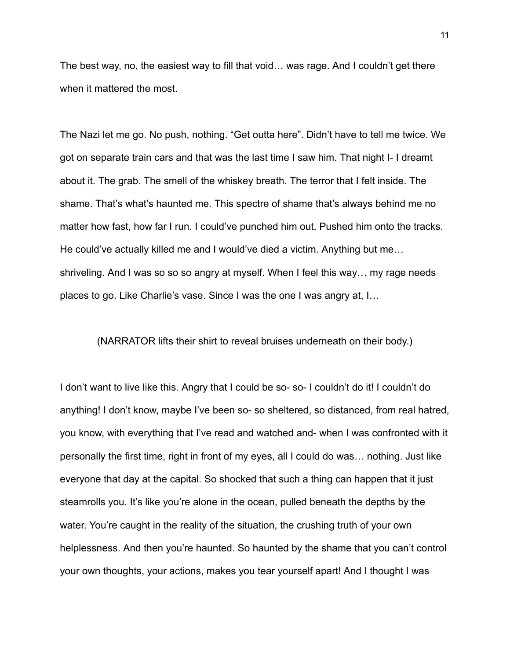The best way, no, the easiest way to fill that void… was rage. And I couldn't get there when it mattered the most.

The Nazi let me go. No push, nothing. "Get outta here". Didn't have to tell me twice. We got on separate train cars and that was the last time I saw him. That night I- I dreamt about it. The grab. The smell of the whiskey breath. The terror that I felt inside. The shame. That's what's haunted me. This spectre of shame that's always behind me no matter how fast, how far I run. I could've punched him out. Pushed him onto the tracks. He could've actually killed me and I would've died a victim. Anything but me… shriveling. And I was so so so angry at myself. When I feel this way… my rage needs places to go. Like Charlie's vase. Since I was the one I was angry at, I…

(NARRATOR lifts their shirt to reveal bruises underneath on their body.)

I don't want to live like this. Angry that I could be so- so- I couldn't do it! I couldn't do anything! I don't know, maybe I've been so- so sheltered, so distanced, from real hatred, you know, with everything that I've read and watched and- when I was confronted with it personally the first time, right in front of my eyes, all I could do was… nothing. Just like everyone that day at the capital. So shocked that such a thing can happen that it just steamrolls you. It's like you're alone in the ocean, pulled beneath the depths by the water. You're caught in the reality of the situation, the crushing truth of your own helplessness. And then you're haunted. So haunted by the shame that you can't control your own thoughts, your actions, makes you tear yourself apart! And I thought I was